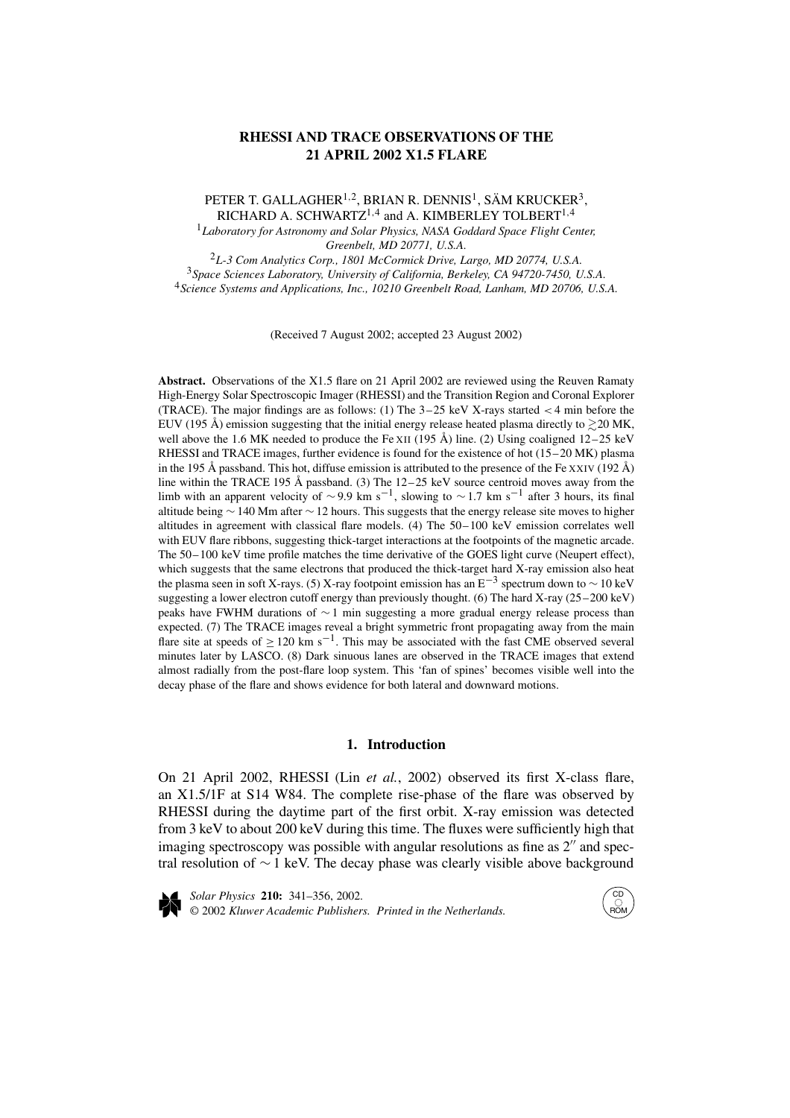# **RHESSI AND TRACE OBSERVATIONS OF THE 21 APRIL 2002 X1.5 FLARE**

PETER T. GALLAGHER<sup>1,2</sup>, BRIAN R. DENNIS<sup>1</sup>, SÄM KRUCKER<sup>3</sup>, RICHARD A. SCHWARTZ1*,*<sup>4</sup> and A. KIMBERLEY TOLBERT1*,*<sup>4</sup>

<sup>1</sup>*Laboratory for Astronomy and Solar Physics, NASA Goddard Space Flight Center, Greenbelt, MD 20771, U.S.A.*

<sup>2</sup>*L-3 Com Analytics Corp., 1801 McCormick Drive, Largo, MD 20774, U.S.A.* <sup>3</sup>*Space Sciences Laboratory, University of California, Berkeley, CA 94720-7450, U.S.A.* <sup>4</sup>*Science Systems and Applications, Inc., 10210 Greenbelt Road, Lanham, MD 20706, U.S.A.*

(Received 7 August 2002; accepted 23 August 2002)

Abstract. Observations of the X1.5 flare on 21 April 2002 are reviewed using the Reuven Ramaty High-Energy Solar Spectroscopic Imager (RHESSI) and the Transition Region and Coronal Explorer (TRACE). The major findings are as follows: (1) The 3–25 keV X-rays started *<* 4 min before the EUV (195 Å) emission suggesting that the initial energy release heated plasma directly to  $\gtrsim$  20 MK, well above the 1.6 MK needed to produce the Fe XII (195 Å) line. (2) Using coaligned  $12-25 \text{ keV}$ RHESSI and TRACE images, further evidence is found for the existence of hot (15–20 MK) plasma in the 195 Å passband. This hot, diffuse emission is attributed to the presence of the Fe XXIV (192 Å) line within the TRACE 195 Å passband. (3) The  $12-25$  keV source centroid moves away from the limb with an apparent velocity of ~9.9 km s<sup>-1</sup>, slowing to ~1.7 km s<sup>-1</sup> after 3 hours, its final altitude being ∼ 140 Mm after ∼ 12 hours. This suggests that the energy release site moves to higher altitudes in agreement with classical flare models. (4) The 50–100 keV emission correlates well with EUV flare ribbons, suggesting thick-target interactions at the footpoints of the magnetic arcade. The 50–100 keV time profile matches the time derivative of the GOES light curve (Neupert effect), which suggests that the same electrons that produced the thick-target hard X-ray emission also heat the plasma seen in soft X-rays. (5) X-ray footpoint emission has an  $E^{-3}$  spectrum down to  $\sim 10 \text{ keV}$ suggesting a lower electron cutoff energy than previously thought. (6) The hard X-ray (25–200 keV) peaks have FWHM durations of ∼ 1 min suggesting a more gradual energy release process than expected. (7) The TRACE images reveal a bright symmetric front propagating away from the main flare site at speeds of  $\geq 120$  km s<sup>-1</sup>. This may be associated with the fast CME observed several minutes later by LASCO. (8) Dark sinuous lanes are observed in the TRACE images that extend almost radially from the post-flare loop system. This 'fan of spines' becomes visible well into the decay phase of the flare and shows evidence for both lateral and downward motions.

### **1. Introduction**

On 21 April 2002, RHESSI (Lin *et al.*, 2002) observed its first X-class flare, an X1.5/1F at S14 W84. The complete rise-phase of the flare was observed by RHESSI during the daytime part of the first orbit. X-ray emission was detected from 3 keV to about 200 keV during this time. The fluxes were sufficiently high that imaging spectroscopy was possible with angular resolutions as fine as  $2<sup>′′</sup>$  and spectral resolution of ∼ 1 keV. The decay phase was clearly visible above background



*Solar Physics* **210:** 341–356, 2002. © 2002 *Kluwer Academic Publishers. Printed in the Netherlands.*

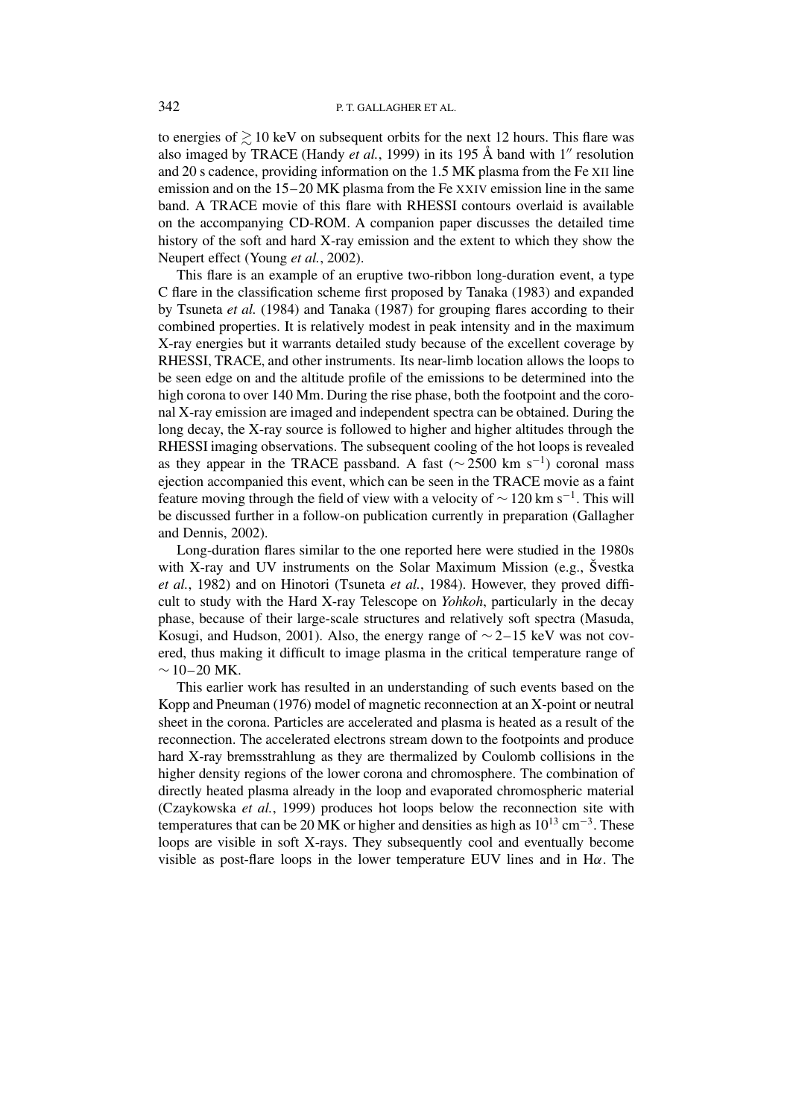to energies of  $\geq 10$  keV on subsequent orbits for the next 12 hours. This flare was also imaged by TRACE (Handy *et al.*, 1999) in its 195 Å band with  $1''$  resolution and 20 s cadence, providing information on the 1.5 MK plasma from the Fe XII line emission and on the 15–20 MK plasma from the Fe XXIV emission line in the same band. A TRACE movie of this flare with RHESSI contours overlaid is available on the accompanying CD-ROM. A companion paper discusses the detailed time history of the soft and hard X-ray emission and the extent to which they show the Neupert effect (Young *et al.*, 2002).

This flare is an example of an eruptive two-ribbon long-duration event, a type C flare in the classification scheme first proposed by Tanaka (1983) and expanded by Tsuneta *et al.* (1984) and Tanaka (1987) for grouping flares according to their combined properties. It is relatively modest in peak intensity and in the maximum X-ray energies but it warrants detailed study because of the excellent coverage by RHESSI, TRACE, and other instruments. Its near-limb location allows the loops to be seen edge on and the altitude profile of the emissions to be determined into the high corona to over 140 Mm. During the rise phase, both the footpoint and the coronal X-ray emission are imaged and independent spectra can be obtained. During the long decay, the X-ray source is followed to higher and higher altitudes through the RHESSI imaging observations. The subsequent cooling of the hot loops is revealed as they appear in the TRACE passband. A fast ( $\sim$  2500 km s<sup>-1</sup>) coronal mass ejection accompanied this event, which can be seen in the TRACE movie as a faint feature moving through the field of view with a velocity of  $\sim$  120 km s<sup>-1</sup>. This will be discussed further in a follow-on publication currently in preparation (Gallagher and Dennis, 2002).

Long-duration flares similar to the one reported here were studied in the 1980s with X-ray and UV instruments on the Solar Maximum Mission (e.g., Švestka *et al.*, 1982) and on Hinotori (Tsuneta *et al.*, 1984). However, they proved difficult to study with the Hard X-ray Telescope on *Yohkoh*, particularly in the decay phase, because of their large-scale structures and relatively soft spectra (Masuda, Kosugi, and Hudson, 2001). Also, the energy range of  $\sim$  2–15 keV was not covered, thus making it difficult to image plasma in the critical temperature range of  $~\sim$  10–20 MK.

This earlier work has resulted in an understanding of such events based on the Kopp and Pneuman (1976) model of magnetic reconnection at an X-point or neutral sheet in the corona. Particles are accelerated and plasma is heated as a result of the reconnection. The accelerated electrons stream down to the footpoints and produce hard X-ray bremsstrahlung as they are thermalized by Coulomb collisions in the higher density regions of the lower corona and chromosphere. The combination of directly heated plasma already in the loop and evaporated chromospheric material (Czaykowska *et al.*, 1999) produces hot loops below the reconnection site with temperatures that can be 20 MK or higher and densities as high as  $10^{13}$  cm<sup>-3</sup>. These loops are visible in soft X-rays. They subsequently cool and eventually become visible as post-flare loops in the lower temperature EUV lines and in H*α*. The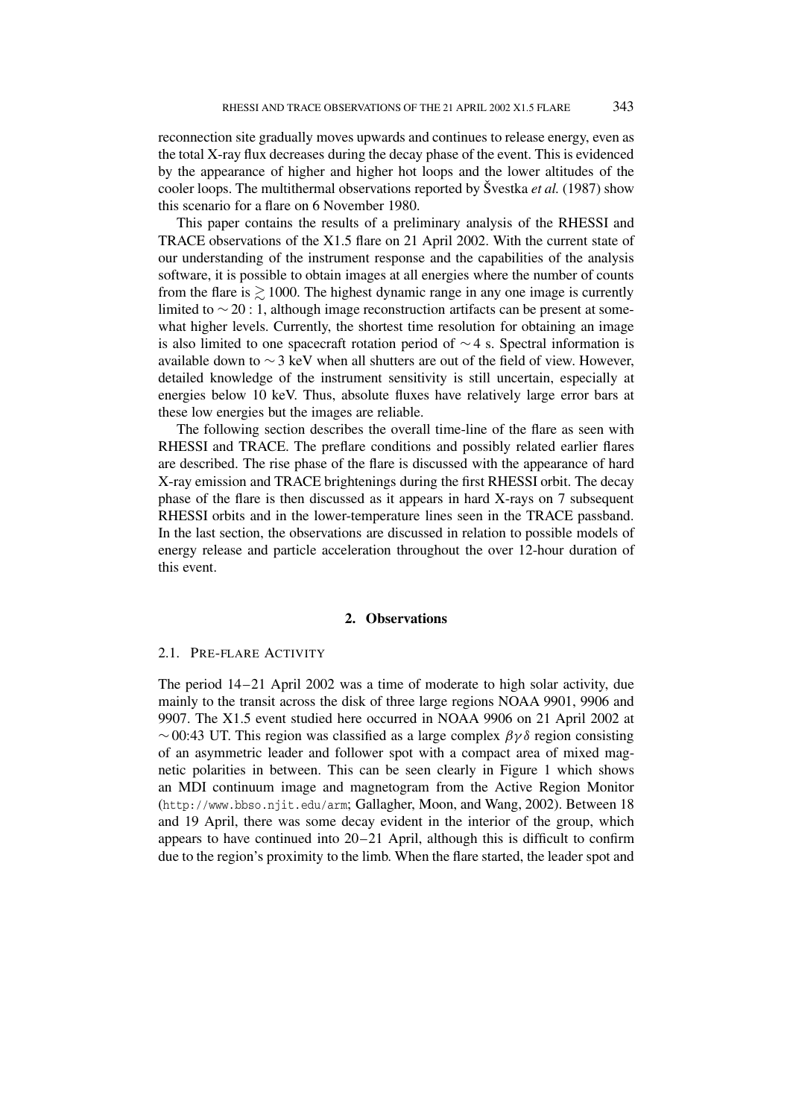reconnection site gradually moves upwards and continues to release energy, even as the total X-ray flux decreases during the decay phase of the event. This is evidenced by the appearance of higher and higher hot loops and the lower altitudes of the cooler loops. The multithermal observations reported by Švestka *et al.* (1987) show this scenario for a flare on 6 November 1980.

This paper contains the results of a preliminary analysis of the RHESSI and TRACE observations of the X1.5 flare on 21 April 2002. With the current state of our understanding of the instrument response and the capabilities of the analysis software, it is possible to obtain images at all energies where the number of counts from the flare is  $\geq 1000$ . The highest dynamic range in any one image is currently limited to ∼ 20 : 1, although image reconstruction artifacts can be present at somewhat higher levels. Currently, the shortest time resolution for obtaining an image is also limited to one spacecraft rotation period of ∼ 4 s. Spectral information is available down to  $\sim$  3 keV when all shutters are out of the field of view. However, detailed knowledge of the instrument sensitivity is still uncertain, especially at energies below 10 keV. Thus, absolute fluxes have relatively large error bars at these low energies but the images are reliable.

The following section describes the overall time-line of the flare as seen with RHESSI and TRACE. The preflare conditions and possibly related earlier flares are described. The rise phase of the flare is discussed with the appearance of hard X-ray emission and TRACE brightenings during the first RHESSI orbit. The decay phase of the flare is then discussed as it appears in hard X-rays on 7 subsequent RHESSI orbits and in the lower-temperature lines seen in the TRACE passband. In the last section, the observations are discussed in relation to possible models of energy release and particle acceleration throughout the over 12-hour duration of this event.

## **2. Observations**

### 2.1. PRE-FLARE ACTIVITY

The period 14–21 April 2002 was a time of moderate to high solar activity, due mainly to the transit across the disk of three large regions NOAA 9901, 9906 and 9907. The X1.5 event studied here occurred in NOAA 9906 on 21 April 2002 at ∼ 00:43 UT. This region was classified as a large complex *βγδ* region consisting of an asymmetric leader and follower spot with a compact area of mixed magnetic polarities in between. This can be seen clearly in Figure 1 which shows an MDI continuum image and magnetogram from the Active Region Monitor (http://www.bbso.njit.edu/arm; Gallagher, Moon, and Wang, 2002). Between 18 and 19 April, there was some decay evident in the interior of the group, which appears to have continued into 20–21 April, although this is difficult to confirm due to the region's proximity to the limb. When the flare started, the leader spot and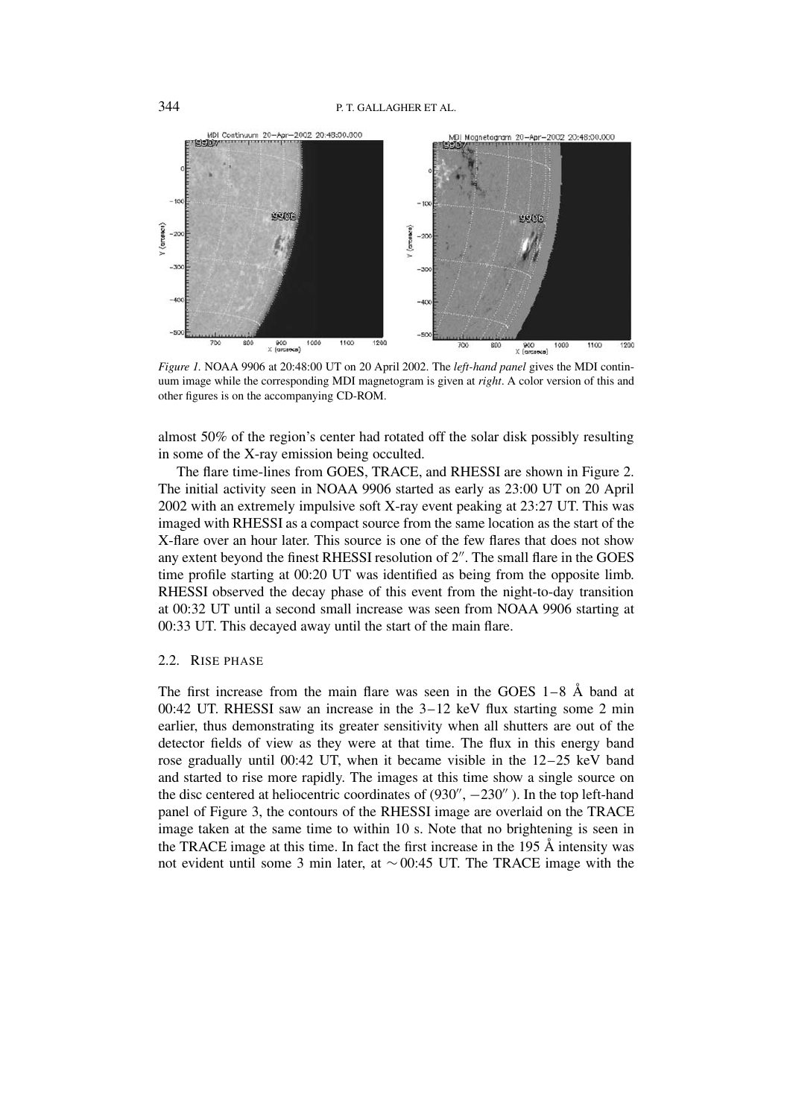

*Figure 1.* NOAA 9906 at 20:48:00 UT on 20 April 2002. The *left-hand panel* gives the MDI continuum image while the corresponding MDI magnetogram is given at *right*. A color version of this and other figures is on the accompanying CD-ROM.

almost 50% of the region's center had rotated off the solar disk possibly resulting in some of the X-ray emission being occulted.

The flare time-lines from GOES, TRACE, and RHESSI are shown in Figure 2. The initial activity seen in NOAA 9906 started as early as 23:00 UT on 20 April 2002 with an extremely impulsive soft X-ray event peaking at 23:27 UT. This was imaged with RHESSI as a compact source from the same location as the start of the X-flare over an hour later. This source is one of the few flares that does not show any extent beyond the finest RHESSI resolution of 2". The small flare in the GOES time profile starting at 00:20 UT was identified as being from the opposite limb. RHESSI observed the decay phase of this event from the night-to-day transition at 00:32 UT until a second small increase was seen from NOAA 9906 starting at 00:33 UT. This decayed away until the start of the main flare.

# 2.2. RISE PHASE

The first increase from the main flare was seen in the GOES 1–8 Å band at 00:42 UT. RHESSI saw an increase in the 3–12 keV flux starting some 2 min earlier, thus demonstrating its greater sensitivity when all shutters are out of the detector fields of view as they were at that time. The flux in this energy band rose gradually until 00:42 UT, when it became visible in the 12–25 keV band and started to rise more rapidly. The images at this time show a single source on the disc centered at heliocentric coordinates of  $(930'', -230'')$ . In the top left-hand panel of Figure 3, the contours of the RHESSI image are overlaid on the TRACE image taken at the same time to within 10 s. Note that no brightening is seen in the TRACE image at this time. In fact the first increase in the 195 Å intensity was not evident until some 3 min later, at ∼ 00:45 UT. The TRACE image with the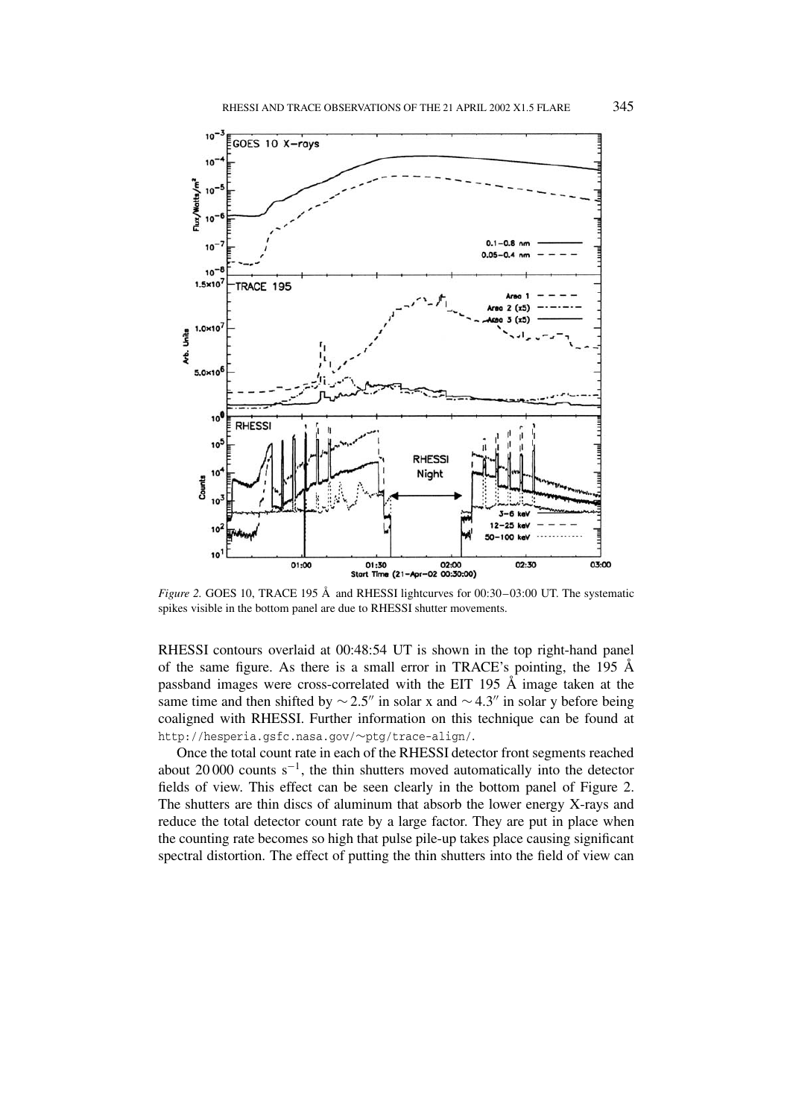

*Figure 2.* GOES 10, TRACE 195 Å and RHESSI lightcurves for 00:30–03:00 UT. The systematic spikes visible in the bottom panel are due to RHESSI shutter movements.

RHESSI contours overlaid at 00:48:54 UT is shown in the top right-hand panel of the same figure. As there is a small error in TRACE's pointing, the 195  $\AA$ passband images were cross-correlated with the EIT 195 Å image taken at the same time and then shifted by  $\sim$  2.5" in solar x and  $\sim$  4.3" in solar y before being coaligned with RHESSI. Further information on this technique can be found at http://hesperia.gsfc.nasa.gov/∼ptg/trace-align/.

Once the total count rate in each of the RHESSI detector front segments reached about 20 000 counts  $s^{-1}$ , the thin shutters moved automatically into the detector fields of view. This effect can be seen clearly in the bottom panel of Figure 2. The shutters are thin discs of aluminum that absorb the lower energy X-rays and reduce the total detector count rate by a large factor. They are put in place when the counting rate becomes so high that pulse pile-up takes place causing significant spectral distortion. The effect of putting the thin shutters into the field of view can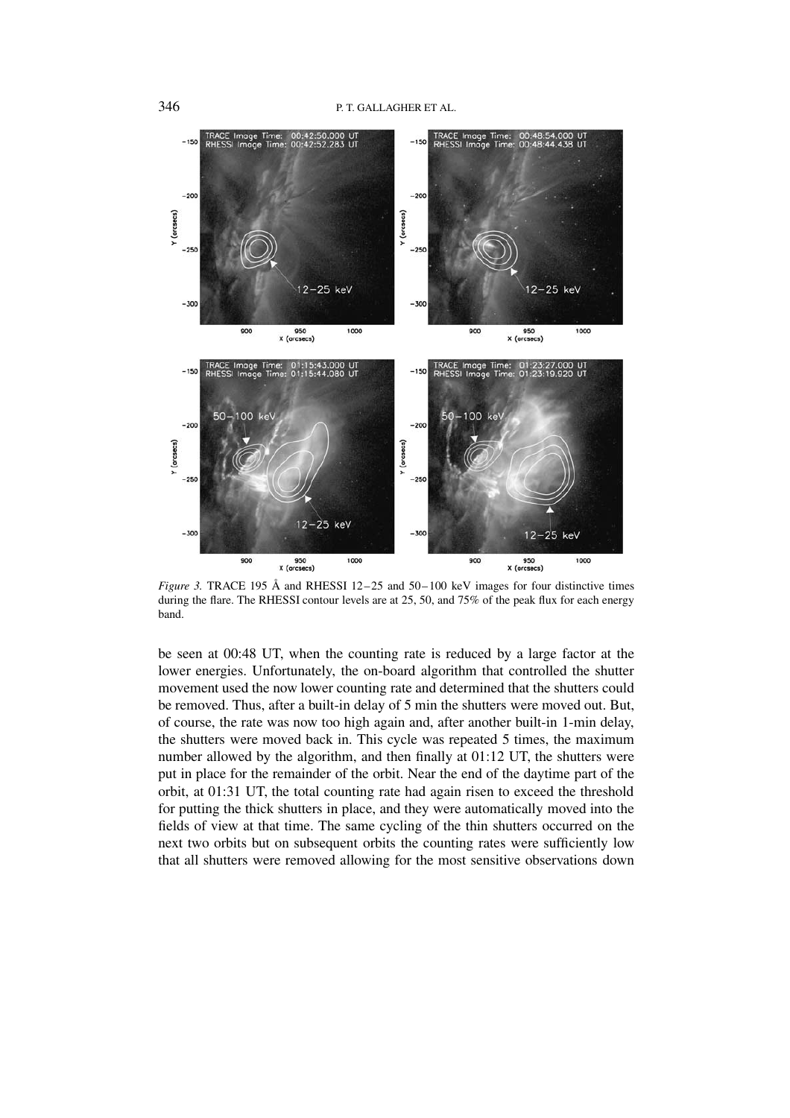

*Figure 3.* TRACE 195 Å and RHESSI 12–25 and 50–100 keV images for four distinctive times during the flare. The RHESSI contour levels are at 25, 50, and 75% of the peak flux for each energy band.

be seen at 00:48 UT, when the counting rate is reduced by a large factor at the lower energies. Unfortunately, the on-board algorithm that controlled the shutter movement used the now lower counting rate and determined that the shutters could be removed. Thus, after a built-in delay of 5 min the shutters were moved out. But, of course, the rate was now too high again and, after another built-in 1-min delay, the shutters were moved back in. This cycle was repeated 5 times, the maximum number allowed by the algorithm, and then finally at 01:12 UT, the shutters were put in place for the remainder of the orbit. Near the end of the daytime part of the orbit, at 01:31 UT, the total counting rate had again risen to exceed the threshold for putting the thick shutters in place, and they were automatically moved into the fields of view at that time. The same cycling of the thin shutters occurred on the next two orbits but on subsequent orbits the counting rates were sufficiently low that all shutters were removed allowing for the most sensitive observations down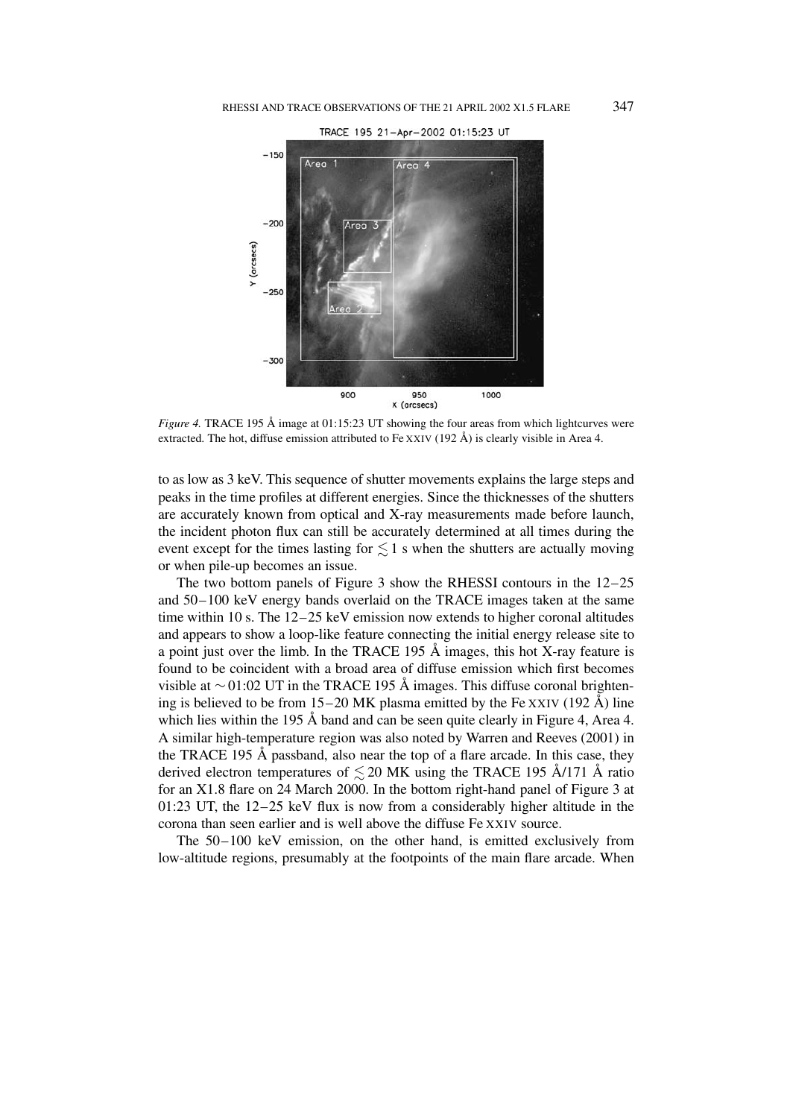

*Figure 4.* TRACE 195 Å image at 01:15:23 UT showing the four areas from which lightcurves were extracted. The hot, diffuse emission attributed to Fe XXIV (192 Å) is clearly visible in Area 4.

to as low as 3 keV. This sequence of shutter movements explains the large steps and peaks in the time profiles at different energies. Since the thicknesses of the shutters are accurately known from optical and X-ray measurements made before launch, the incident photon flux can still be accurately determined at all times during the event except for the times lasting for  $\lesssim$  1 s when the shutters are actually moving or when pile-up becomes an issue.

The two bottom panels of Figure 3 show the RHESSI contours in the 12–25 and 50–100 keV energy bands overlaid on the TRACE images taken at the same time within 10 s. The 12–25 keV emission now extends to higher coronal altitudes and appears to show a loop-like feature connecting the initial energy release site to a point just over the limb. In the TRACE 195  $\AA$  images, this hot X-ray feature is found to be coincident with a broad area of diffuse emission which first becomes visible at  $\sim$  01:02 UT in the TRACE 195 Å images. This diffuse coronal brightening is believed to be from 15–20 MK plasma emitted by the Fe XXIV (192 Å) line which lies within the 195 Å band and can be seen quite clearly in Figure 4, Area 4. A similar high-temperature region was also noted by Warren and Reeves (2001) in the TRACE 195 Å passband, also near the top of a flare arcade. In this case, they derived electron temperatures of  $\lesssim$  20 MK using the TRACE 195 Å/171 Å ratio for an X1.8 flare on 24 March 2000. In the bottom right-hand panel of Figure 3 at 01:23 UT, the 12–25 keV flux is now from a considerably higher altitude in the corona than seen earlier and is well above the diffuse Fe XXIV source.

The 50–100 keV emission, on the other hand, is emitted exclusively from low-altitude regions, presumably at the footpoints of the main flare arcade. When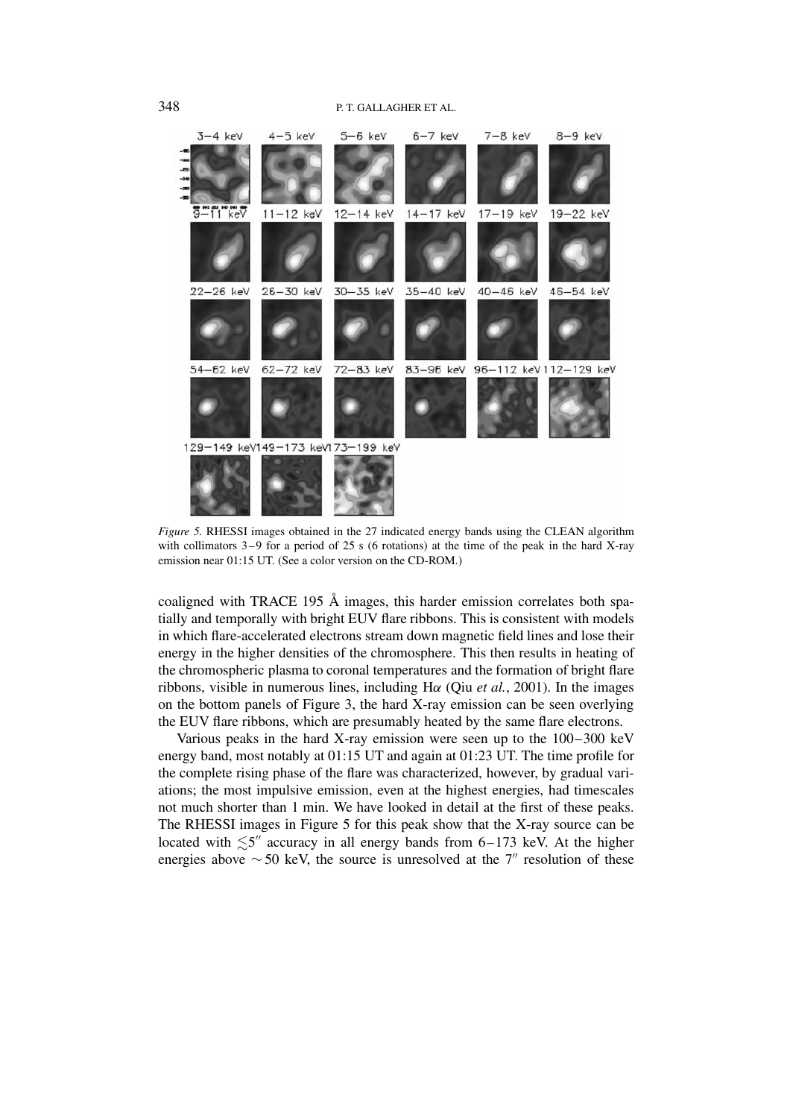

*Figure 5.* RHESSI images obtained in the 27 indicated energy bands using the CLEAN algorithm with collimators 3–9 for a period of 25 s (6 rotations) at the time of the peak in the hard X-ray emission near 01:15 UT. (See a color version on the CD-ROM.)

coaligned with TRACE 195 Å images, this harder emission correlates both spatially and temporally with bright EUV flare ribbons. This is consistent with models in which flare-accelerated electrons stream down magnetic field lines and lose their energy in the higher densities of the chromosphere. This then results in heating of the chromospheric plasma to coronal temperatures and the formation of bright flare ribbons, visible in numerous lines, including H*α* (Qiu *et al.*, 2001). In the images on the bottom panels of Figure 3, the hard X-ray emission can be seen overlying the EUV flare ribbons, which are presumably heated by the same flare electrons.

Various peaks in the hard X-ray emission were seen up to the 100–300 keV energy band, most notably at 01:15 UT and again at 01:23 UT. The time profile for the complete rising phase of the flare was characterized, however, by gradual variations; the most impulsive emission, even at the highest energies, had timescales not much shorter than 1 min. We have looked in detail at the first of these peaks. The RHESSI images in Figure 5 for this peak show that the X-ray source can be located with  $\lesssim 5''$  accuracy in all energy bands from 6–173 keV. At the higher energies above  $\sim$  50 keV, the source is unresolved at the 7" resolution of these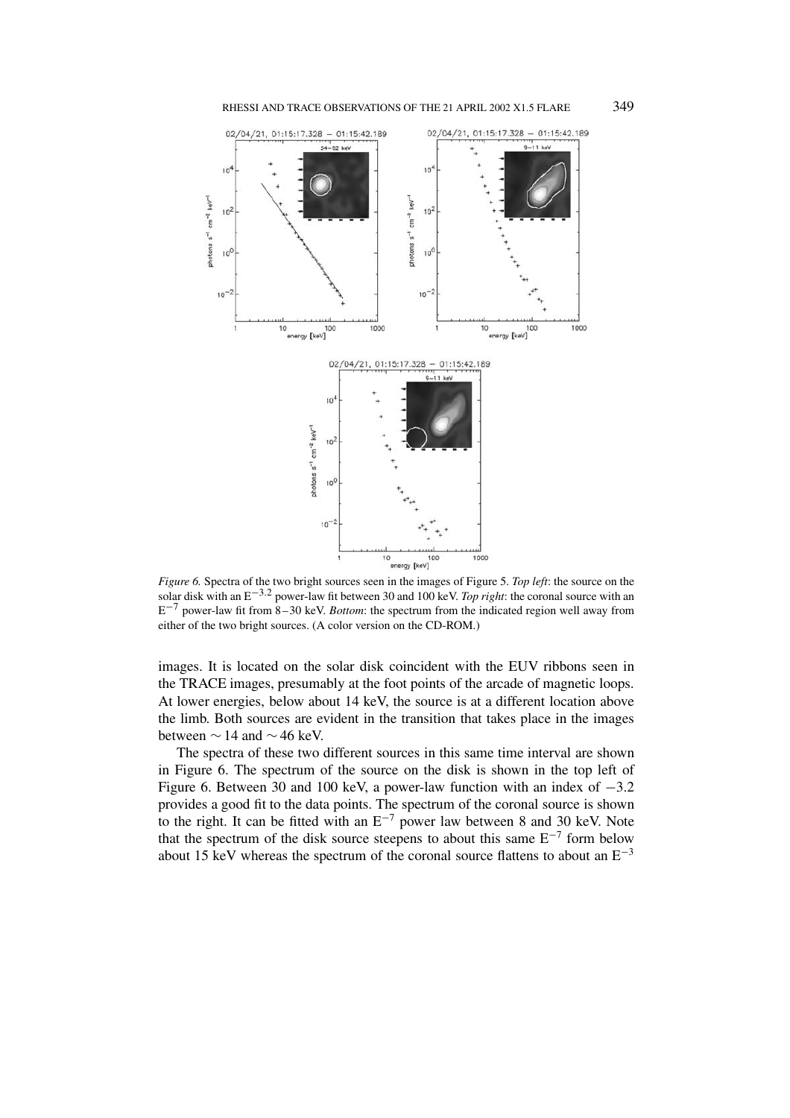



*Figure 6.* Spectra of the two bright sources seen in the images of Figure 5. *Top left*: the source on the solar disk with an E−3*.*<sup>2</sup> power-law fit between 30 and 100 keV. *Top right*: the coronal source with an E−<sup>7</sup> power-law fit from 8–30 keV. *Bottom*: the spectrum from the indicated region well away from either of the two bright sources. (A color version on the CD-ROM.)

images. It is located on the solar disk coincident with the EUV ribbons seen in the TRACE images, presumably at the foot points of the arcade of magnetic loops. At lower energies, below about 14 keV, the source is at a different location above the limb. Both sources are evident in the transition that takes place in the images between  $\sim$  14 and  $\sim$  46 keV.

The spectra of these two different sources in this same time interval are shown in Figure 6. The spectrum of the source on the disk is shown in the top left of Figure 6. Between 30 and 100 keV, a power-law function with an index of −3.2 provides a good fit to the data points. The spectrum of the coronal source is shown to the right. It can be fitted with an  $E^{-7}$  power law between 8 and 30 keV. Note that the spectrum of the disk source steepens to about this same  $E^{-7}$  form below about 15 keV whereas the spectrum of the coronal source flattens to about an  $E^{-3}$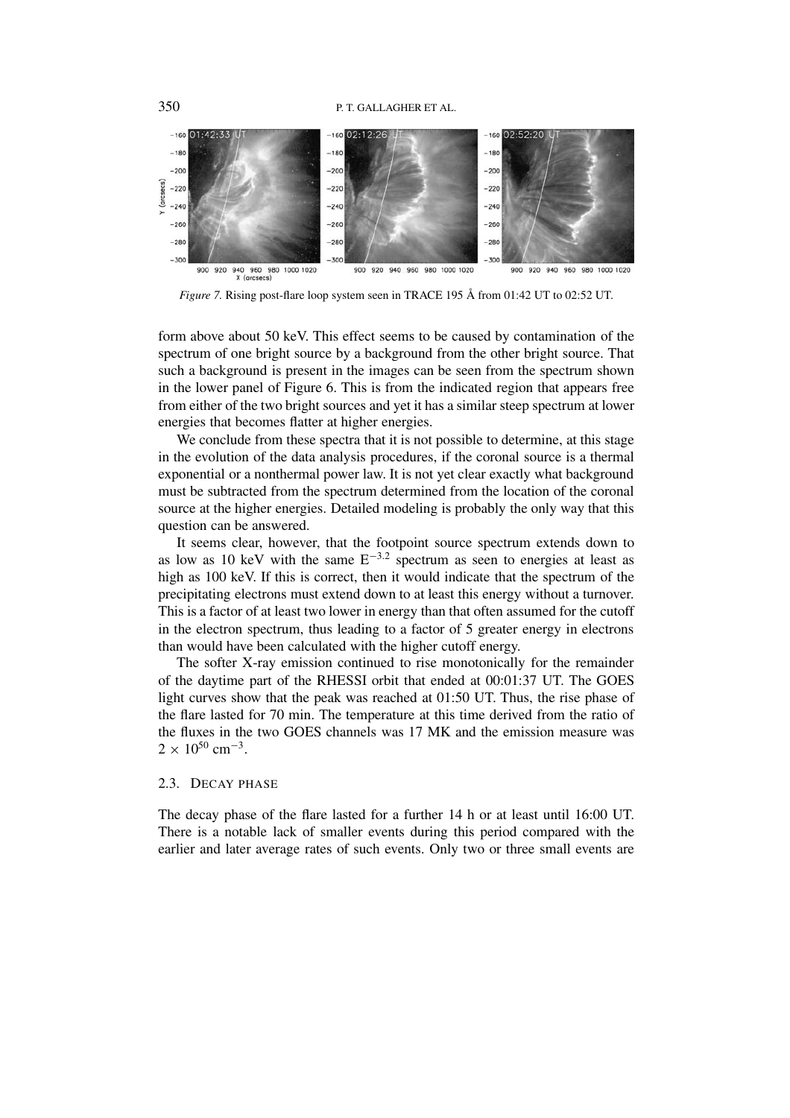

*Figure 7.* Rising post-flare loop system seen in TRACE 195 Å from 01:42 UT to 02:52 UT.

form above about 50 keV. This effect seems to be caused by contamination of the spectrum of one bright source by a background from the other bright source. That such a background is present in the images can be seen from the spectrum shown in the lower panel of Figure 6. This is from the indicated region that appears free from either of the two bright sources and yet it has a similar steep spectrum at lower energies that becomes flatter at higher energies.

We conclude from these spectra that it is not possible to determine, at this stage in the evolution of the data analysis procedures, if the coronal source is a thermal exponential or a nonthermal power law. It is not yet clear exactly what background must be subtracted from the spectrum determined from the location of the coronal source at the higher energies. Detailed modeling is probably the only way that this question can be answered.

It seems clear, however, that the footpoint source spectrum extends down to as low as 10 keV with the same E−3*.*<sup>2</sup> spectrum as seen to energies at least as high as 100 keV. If this is correct, then it would indicate that the spectrum of the precipitating electrons must extend down to at least this energy without a turnover. This is a factor of at least two lower in energy than that often assumed for the cutoff in the electron spectrum, thus leading to a factor of 5 greater energy in electrons than would have been calculated with the higher cutoff energy.

The softer X-ray emission continued to rise monotonically for the remainder of the daytime part of the RHESSI orbit that ended at 00:01:37 UT. The GOES light curves show that the peak was reached at 01:50 UT. Thus, the rise phase of the flare lasted for 70 min. The temperature at this time derived from the ratio of the fluxes in the two GOES channels was 17 MK and the emission measure was  $2 \times 10^{50}$  cm<sup>-3</sup>.

# 2.3. DECAY PHASE

The decay phase of the flare lasted for a further 14 h or at least until 16:00 UT. There is a notable lack of smaller events during this period compared with the earlier and later average rates of such events. Only two or three small events are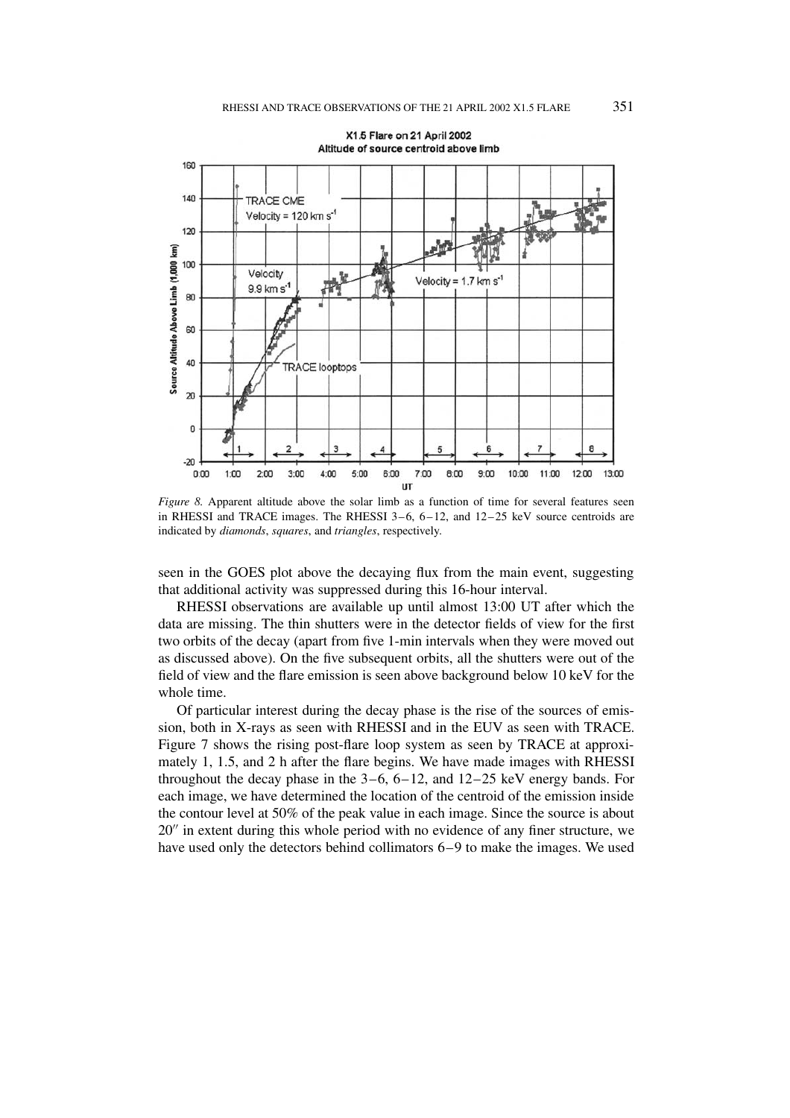

*Figure 8.* Apparent altitude above the solar limb as a function of time for several features seen in RHESSI and TRACE images. The RHESSI 3–6, 6–12, and 12–25 keV source centroids are indicated by *diamonds*, *squares*, and *triangles*, respectively.

seen in the GOES plot above the decaying flux from the main event, suggesting that additional activity was suppressed during this 16-hour interval.

RHESSI observations are available up until almost 13:00 UT after which the data are missing. The thin shutters were in the detector fields of view for the first two orbits of the decay (apart from five 1-min intervals when they were moved out as discussed above). On the five subsequent orbits, all the shutters were out of the field of view and the flare emission is seen above background below 10 keV for the whole time.

Of particular interest during the decay phase is the rise of the sources of emission, both in X-rays as seen with RHESSI and in the EUV as seen with TRACE. Figure 7 shows the rising post-flare loop system as seen by TRACE at approximately 1, 1.5, and 2 h after the flare begins. We have made images with RHESSI throughout the decay phase in the  $3-6$ ,  $6-12$ , and  $12-25$  keV energy bands. For each image, we have determined the location of the centroid of the emission inside the contour level at 50% of the peak value in each image. Since the source is about 20" in extent during this whole period with no evidence of any finer structure, we have used only the detectors behind collimators 6–9 to make the images. We used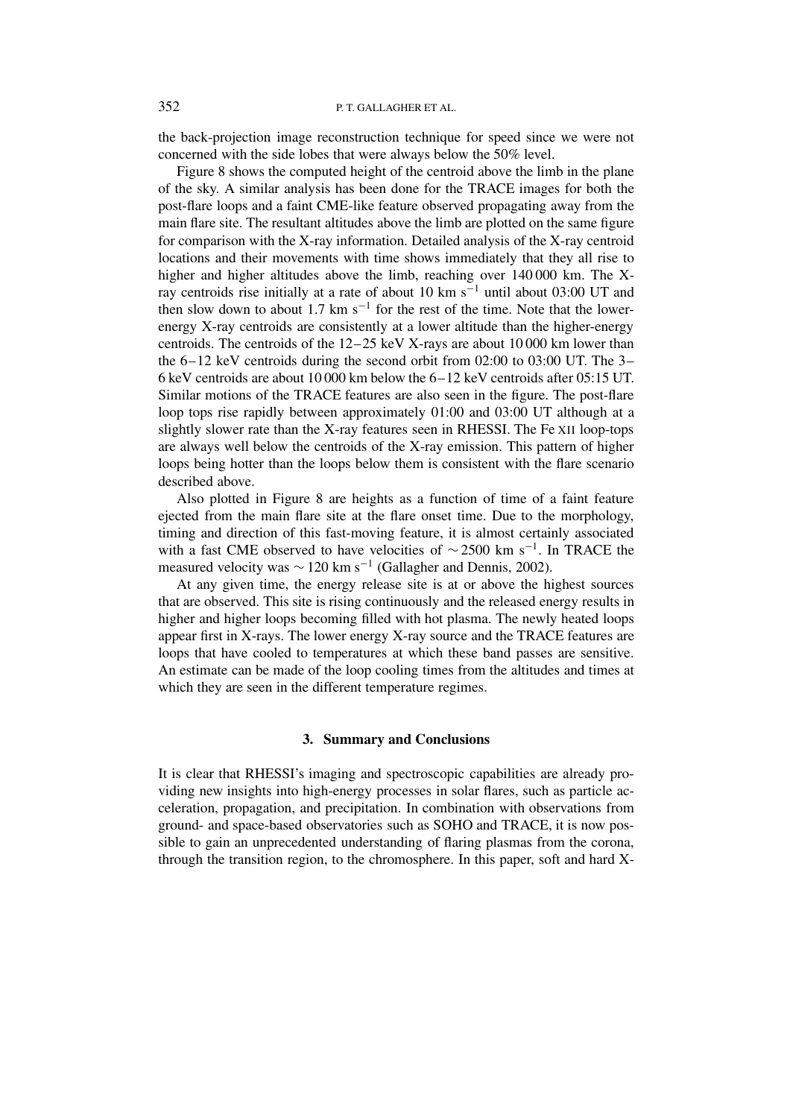the back-projection image reconstruction technique for speed since we were not concerned with the side lobes that were always below the 50% level.

Figure 8 shows the computed height of the centroid above the limb in the plane of the sky. A similar analysis has been done for the TRACE images for both the post-flare loops and a faint CME-like feature observed propagating away from the main flare site. The resultant altitudes above the limb are plotted on the same figure for comparison with the X-ray information. Detailed analysis of the X-ray centroid locations and their movements with time shows immediately that they all rise to higher and higher altitudes above the limb, reaching over 140 000 km. The Xray centroids rise initially at a rate of about 10 km s<sup>-1</sup> until about 03:00 UT and then slow down to about 1.7 km s<sup> $-1$ </sup> for the rest of the time. Note that the lowerenergy X-ray centroids are consistently at a lower altitude than the higher-energy centroids. The centroids of the 12–25 keV X-rays are about 10 000 km lower than the  $6-12$  keV centroids during the second orbit from 02:00 to 03:00 UT. The  $3-$ 6 keV centroids are about 10 000 km below the 6–12 keV centroids after 05:15 UT. Similar motions of the TRACE features are also seen in the figure. The post-flare loop tops rise rapidly between approximately 01:00 and 03:00 UT although at a slightly slower rate than the X-ray features seen in RHESSI. The Fe XII loop-tops are always well below the centroids of the X-ray emission. This pattern of higher loops being hotter than the loops below them is consistent with the flare scenario described above.

Also plotted in Figure 8 are heights as a function of time of a faint feature ejected from the main flare site at the flare onset time. Due to the morphology, timing and direction of this fast-moving feature, it is almost certainly associated with a fast CME observed to have velocities of  $\sim$  2500 km s<sup>-1</sup>. In TRACE the measured velocity was  $\sim$  120 km s<sup>-1</sup> (Gallagher and Dennis, 2002).

At any given time, the energy release site is at or above the highest sources that are observed. This site is rising continuously and the released energy results in higher and higher loops becoming filled with hot plasma. The newly heated loops appear first in X-rays. The lower energy X-ray source and the TRACE features are loops that have cooled to temperatures at which these band passes are sensitive. An estimate can be made of the loop cooling times from the altitudes and times at which they are seen in the different temperature regimes.

# **3. Summary and Conclusions**

It is clear that RHESSI's imaging and spectroscopic capabilities are already providing new insights into high-energy processes in solar flares, such as particle acceleration, propagation, and precipitation. In combination with observations from ground- and space-based observatories such as SOHO and TRACE, it is now possible to gain an unprecedented understanding of flaring plasmas from the corona, through the transition region, to the chromosphere. In this paper, soft and hard X-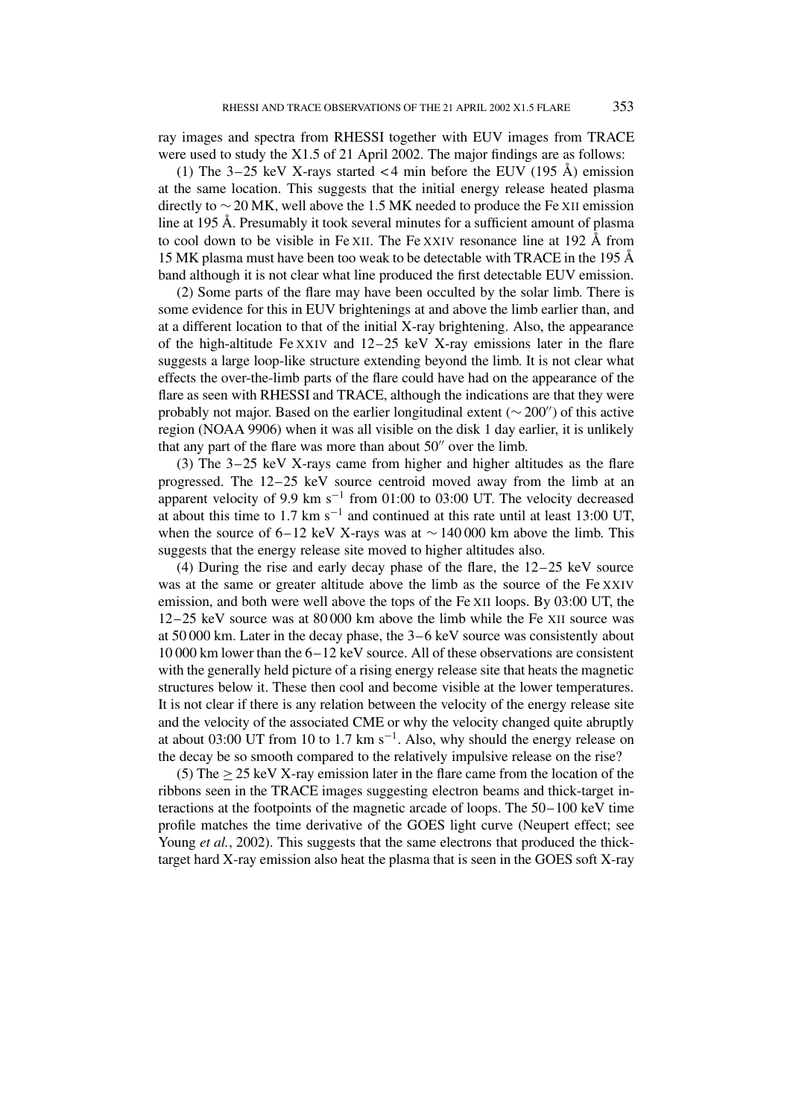ray images and spectra from RHESSI together with EUV images from TRACE were used to study the X1.5 of 21 April 2002. The major findings are as follows:

(1) The 3–25 keV X-rays started  $<$  4 min before the EUV (195 Å) emission at the same location. This suggests that the initial energy release heated plasma directly to  $\sim$  20 MK, well above the 1.5 MK needed to produce the Fe XII emission line at 195 Å. Presumably it took several minutes for a sufficient amount of plasma to cool down to be visible in Fe XII. The Fe XXIV resonance line at 192 Å from 15 MK plasma must have been too weak to be detectable with TRACE in the 195 Å band although it is not clear what line produced the first detectable EUV emission.

(2) Some parts of the flare may have been occulted by the solar limb. There is some evidence for this in EUV brightenings at and above the limb earlier than, and at a different location to that of the initial X-ray brightening. Also, the appearance of the high-altitude Fe XXIV and 12–25 keV X-ray emissions later in the flare suggests a large loop-like structure extending beyond the limb. It is not clear what effects the over-the-limb parts of the flare could have had on the appearance of the flare as seen with RHESSI and TRACE, although the indications are that they were probably not major. Based on the earlier longitudinal extent ( $\sim$  200") of this active region (NOAA 9906) when it was all visible on the disk 1 day earlier, it is unlikely that any part of the flare was more than about  $50''$  over the limb.

(3) The 3–25 keV X-rays came from higher and higher altitudes as the flare progressed. The 12–25 keV source centroid moved away from the limb at an apparent velocity of 9.9 km s<sup> $-1$ </sup> from 01:00 to 03:00 UT. The velocity decreased at about this time to 1.7 km s<sup>-1</sup> and continued at this rate until at least 13:00 UT, when the source of 6–12 keV X-rays was at  $\sim$  140 000 km above the limb. This suggests that the energy release site moved to higher altitudes also.

(4) During the rise and early decay phase of the flare, the 12–25 keV source was at the same or greater altitude above the limb as the source of the Fe XXIV emission, and both were well above the tops of the Fe XII loops. By 03:00 UT, the 12–25 keV source was at 80 000 km above the limb while the Fe XII source was at 50 000 km. Later in the decay phase, the 3–6 keV source was consistently about 10 000 km lower than the 6–12 keV source. All of these observations are consistent with the generally held picture of a rising energy release site that heats the magnetic structures below it. These then cool and become visible at the lower temperatures. It is not clear if there is any relation between the velocity of the energy release site and the velocity of the associated CME or why the velocity changed quite abruptly at about 03:00 UT from 10 to 1.7 km s<sup>-1</sup>. Also, why should the energy release on the decay be so smooth compared to the relatively impulsive release on the rise?

(5) The  $\geq$  25 keV X-ray emission later in the flare came from the location of the ribbons seen in the TRACE images suggesting electron beams and thick-target interactions at the footpoints of the magnetic arcade of loops. The 50–100 keV time profile matches the time derivative of the GOES light curve (Neupert effect; see Young *et al.*, 2002). This suggests that the same electrons that produced the thicktarget hard X-ray emission also heat the plasma that is seen in the GOES soft X-ray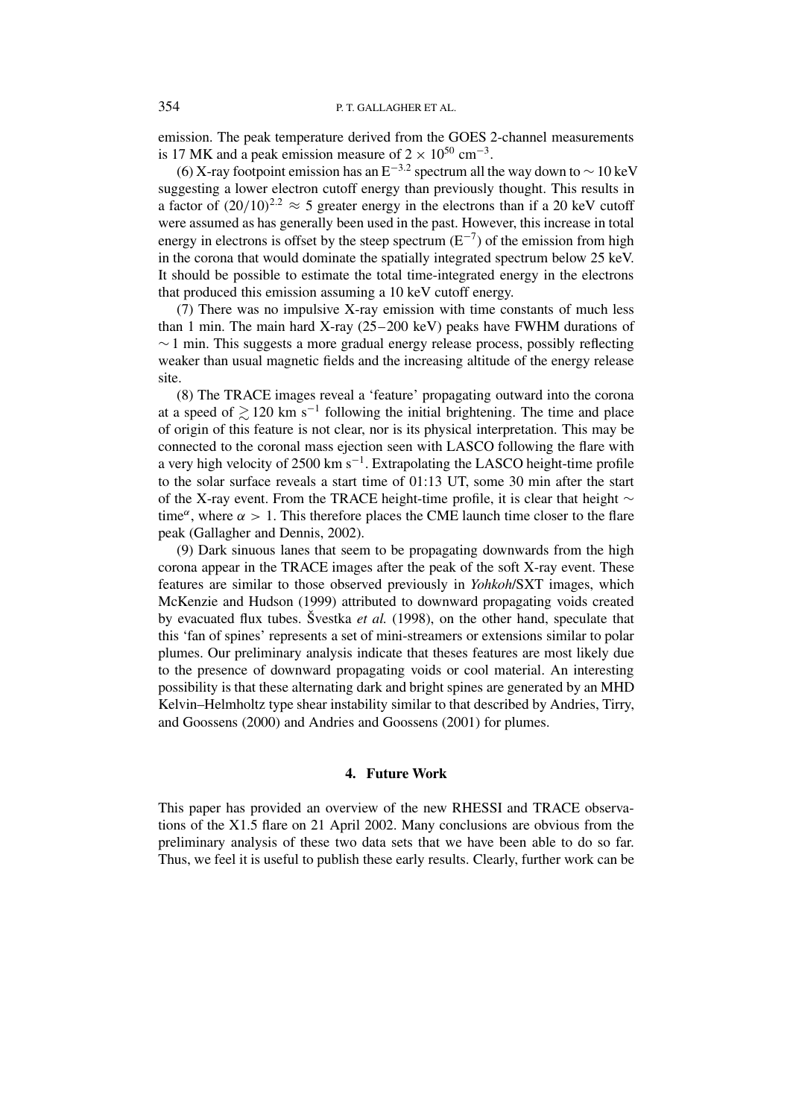emission. The peak temperature derived from the GOES 2-channel measurements is 17 MK and a peak emission measure of  $2 \times 10^{50}$  cm<sup>-3</sup>.

(6) X-ray footpoint emission has an E<sup>-3.2</sup> spectrum all the way down to  $\sim$  10 keV suggesting a lower electron cutoff energy than previously thought. This results in a factor of  $(20/10)^{2.2} \approx 5$  greater energy in the electrons than if a 20 keV cutoff were assumed as has generally been used in the past. However, this increase in total energy in electrons is offset by the steep spectrum  $(E^{-7})$  of the emission from high in the corona that would dominate the spatially integrated spectrum below 25 keV. It should be possible to estimate the total time-integrated energy in the electrons that produced this emission assuming a 10 keV cutoff energy.

(7) There was no impulsive X-ray emission with time constants of much less than 1 min. The main hard X-ray (25–200 keV) peaks have FWHM durations of  $\sim$  1 min. This suggests a more gradual energy release process, possibly reflecting weaker than usual magnetic fields and the increasing altitude of the energy release site.

(8) The TRACE images reveal a 'feature' propagating outward into the corona at a speed of  $\geq 120$  km s<sup>-1</sup> following the initial brightening. The time and place of origin of this feature is not clear, nor is its physical interpretation. This may be connected to the coronal mass ejection seen with LASCO following the flare with a very high velocity of 2500 km s<sup> $-1$ </sup>. Extrapolating the LASCO height-time profile to the solar surface reveals a start time of 01:13 UT, some 30 min after the start of the X-ray event. From the TRACE height-time profile, it is clear that height  $\sim$ time<sup> $\alpha$ </sup>, where  $\alpha > 1$ . This therefore places the CME launch time closer to the flare peak (Gallagher and Dennis, 2002).

(9) Dark sinuous lanes that seem to be propagating downwards from the high corona appear in the TRACE images after the peak of the soft X-ray event. These features are similar to those observed previously in *Yohkoh*/SXT images, which McKenzie and Hudson (1999) attributed to downward propagating voids created by evacuated flux tubes. Švestka *et al.* (1998), on the other hand, speculate that this 'fan of spines' represents a set of mini-streamers or extensions similar to polar plumes. Our preliminary analysis indicate that theses features are most likely due to the presence of downward propagating voids or cool material. An interesting possibility is that these alternating dark and bright spines are generated by an MHD Kelvin–Helmholtz type shear instability similar to that described by Andries, Tirry, and Goossens (2000) and Andries and Goossens (2001) for plumes.

### **4. Future Work**

This paper has provided an overview of the new RHESSI and TRACE observations of the X1.5 flare on 21 April 2002. Many conclusions are obvious from the preliminary analysis of these two data sets that we have been able to do so far. Thus, we feel it is useful to publish these early results. Clearly, further work can be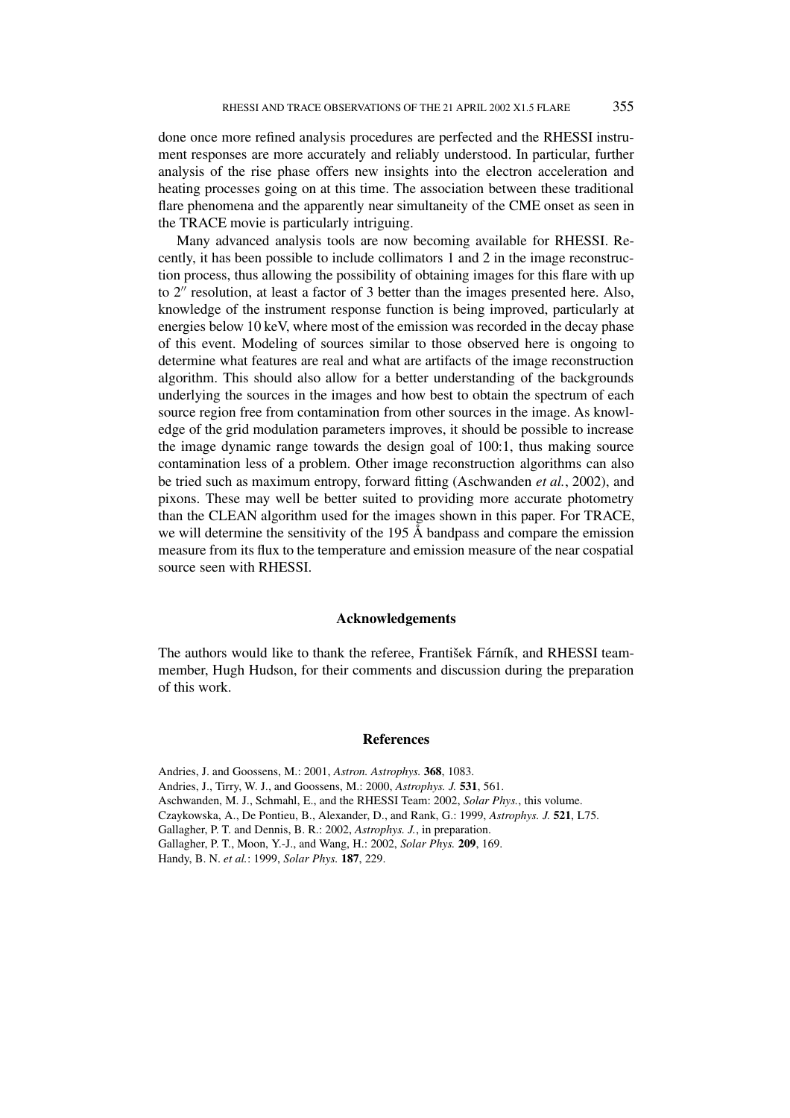done once more refined analysis procedures are perfected and the RHESSI instrument responses are more accurately and reliably understood. In particular, further analysis of the rise phase offers new insights into the electron acceleration and heating processes going on at this time. The association between these traditional flare phenomena and the apparently near simultaneity of the CME onset as seen in the TRACE movie is particularly intriguing.

Many advanced analysis tools are now becoming available for RHESSI. Recently, it has been possible to include collimators 1 and 2 in the image reconstruction process, thus allowing the possibility of obtaining images for this flare with up to  $2<sup>''</sup>$  resolution, at least a factor of 3 better than the images presented here. Also, knowledge of the instrument response function is being improved, particularly at energies below 10 keV, where most of the emission was recorded in the decay phase of this event. Modeling of sources similar to those observed here is ongoing to determine what features are real and what are artifacts of the image reconstruction algorithm. This should also allow for a better understanding of the backgrounds underlying the sources in the images and how best to obtain the spectrum of each source region free from contamination from other sources in the image. As knowledge of the grid modulation parameters improves, it should be possible to increase the image dynamic range towards the design goal of 100:1, thus making source contamination less of a problem. Other image reconstruction algorithms can also be tried such as maximum entropy, forward fitting (Aschwanden *et al.*, 2002), and pixons. These may well be better suited to providing more accurate photometry than the CLEAN algorithm used for the images shown in this paper. For TRACE, we will determine the sensitivity of the 195 Å bandpass and compare the emission measure from its flux to the temperature and emission measure of the near cospatial source seen with RHESSI.

## **Acknowledgements**

The authors would like to thank the referee, František Fárník, and RHESSI teammember, Hugh Hudson, for their comments and discussion during the preparation of this work.

# **References**

Andries, J. and Goossens, M.: 2001, *Astron. Astrophys.* **368**, 1083. Andries, J., Tirry, W. J., and Goossens, M.: 2000, *Astrophys. J.* **531**, 561. Aschwanden, M. J., Schmahl, E., and the RHESSI Team: 2002, *Solar Phys.*, this volume. Czaykowska, A., De Pontieu, B., Alexander, D., and Rank, G.: 1999, *Astrophys. J.* **521**, L75. Gallagher, P. T. and Dennis, B. R.: 2002, *Astrophys. J.*, in preparation. Gallagher, P. T., Moon, Y.-J., and Wang, H.: 2002, *Solar Phys.* **209**, 169. Handy, B. N. *et al.*: 1999, *Solar Phys.* **187**, 229.